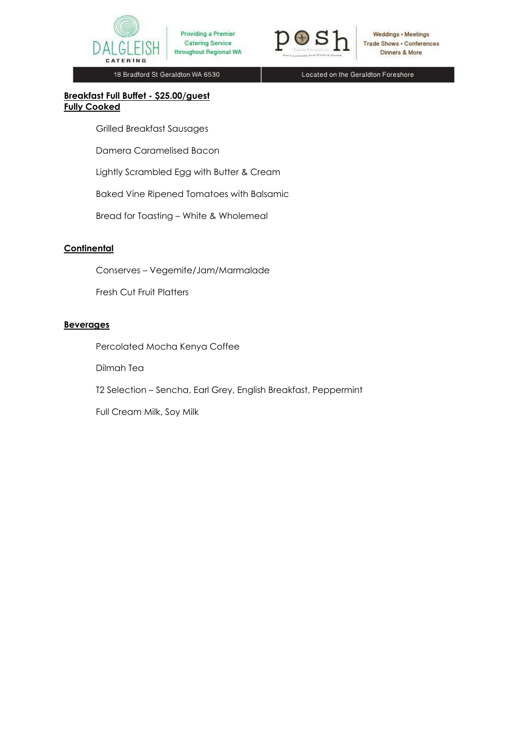

Providing a Premier **Catering Service** throughout Regional WA



Weddings • Meetings Trade Shows . Conferences Dinners & More

18 Bradford St Geraldton WA 6530

Located on the Geraldton Foreshore

### **Breakfast Full Buffet - \$25.00/guest Fully Cooked**

Grilled Breakfast Sausages

Damera Caramelised Bacon

Lightly Scrambled Egg with Butter & Cream

Baked Vine Ripened Tomatoes with Balsamic

Bread for Toasting – White & Wholemeal

# **Continental**

Conserves – Vegemite/Jam/Marmalade

Fresh Cut Fruit Platters

#### **Beverages**

Percolated Mocha Kenya Coffee

Dilmah Tea

T2 Selection – Sencha, Earl Grey, English Breakfast, Peppermint

Full Cream Milk, Soy Milk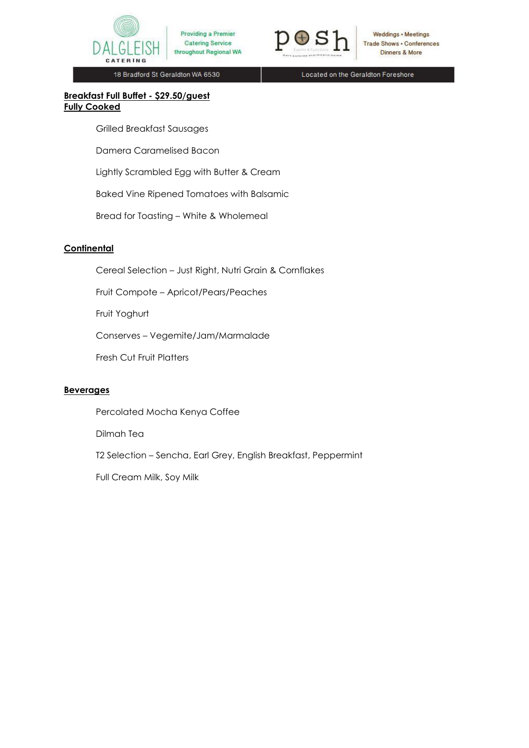

Providing a Premier **Catering Service** throughout Regional WA



Weddings • Meetings Trade Shows . Conferences Dinners & More

18 Bradford St Geraldton WA 6530

Located on the Geraldton Foreshore

#### **Breakfast Full Buffet - \$29.50/guest Fully Cooked**

Grilled Breakfast Sausages

Damera Caramelised Bacon

Lightly Scrambled Egg with Butter & Cream

Baked Vine Ripened Tomatoes with Balsamic

Bread for Toasting – White & Wholemeal

# **Continental**

Cereal Selection – Just Right, Nutri Grain & Cornflakes

Fruit Compote – Apricot/Pears/Peaches

Fruit Yoghurt

Conserves – Vegemite/Jam/Marmalade

Fresh Cut Fruit Platters

# **Beverages**

Percolated Mocha Kenya Coffee

Dilmah Tea

T2 Selection – Sencha, Earl Grey, English Breakfast, Peppermint

Full Cream Milk, Soy Milk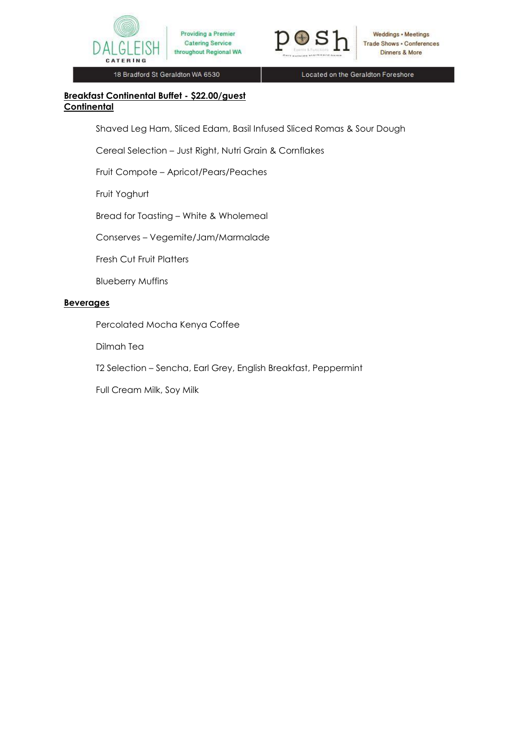



18 Bradford St Geraldton WA 6530

Located on the Geraldton Foreshore

## **Breakfast Continental Buffet - \$22.00/guest Continental**

Shaved Leg Ham, Sliced Edam, Basil Infused Sliced Romas & Sour Dough

Cereal Selection – Just Right, Nutri Grain & Cornflakes

Fruit Compote – Apricot/Pears/Peaches

Fruit Yoghurt

Bread for Toasting – White & Wholemeal

Conserves – Vegemite/Jam/Marmalade

Fresh Cut Fruit Platters

Blueberry Muffins

# **Beverages**

Percolated Mocha Kenya Coffee

Dilmah Tea

T2 Selection – Sencha, Earl Grey, English Breakfast, Peppermint

Full Cream Milk, Soy Milk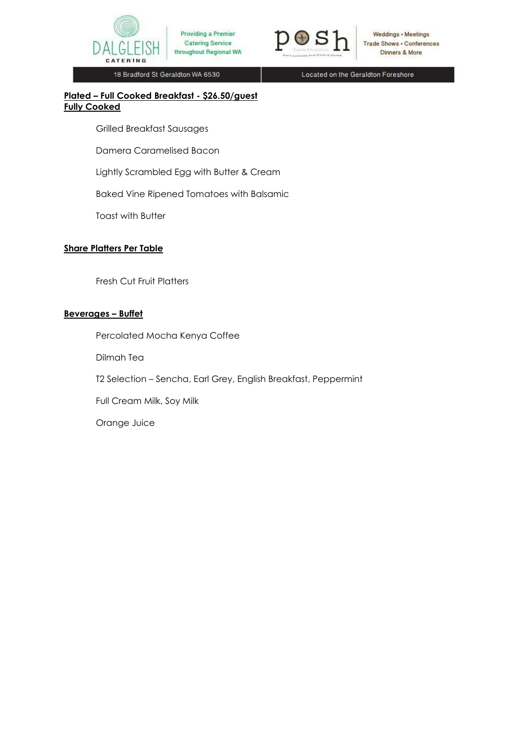



Weddings • Meetings Trade Shows . Conferences Dinners & More

18 Bradford St Geraldton WA 6530

Located on the Geraldton Foreshore

### **Plated – Full Cooked Breakfast - \$26.50/guest Fully Cooked**

Grilled Breakfast Sausages

Damera Caramelised Bacon

Lightly Scrambled Egg with Butter & Cream

Baked Vine Ripened Tomatoes with Balsamic

Toast with Butter

#### **Share Platters Per Table**

Fresh Cut Fruit Platters

# **Beverages – Buffet**

Percolated Mocha Kenya Coffee Dilmah Tea T2 Selection – Sencha, Earl Grey, English Breakfast, Peppermint Full Cream Milk, Soy Milk Orange Juice